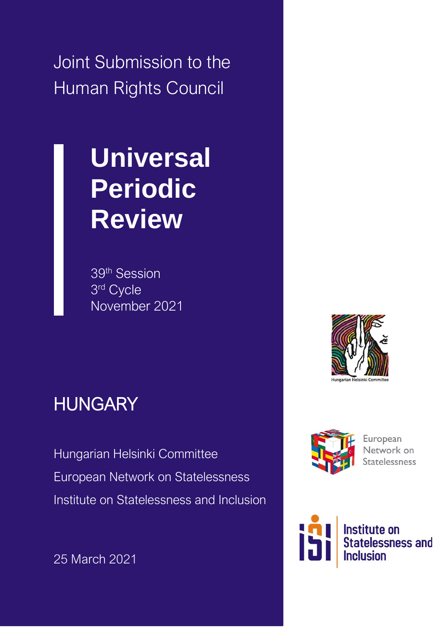Joint Submission to the Human Rights Council

# **Universal Periodic Review**

39th Session 3 rd Cycle November 2021

## **HUNGARY**

Hungarian Helsinki Committee European Network on Statelessness Institute on Statelessness and Inclusion

25 March 2021





European Network on **Statelessness** 

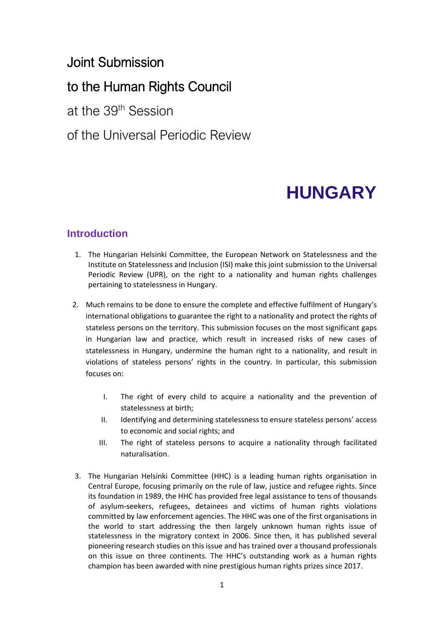## Joint Submission

## to the Human Rights Council

at the 39th Session

## of the Universal Periodic Review

## **HUNGARY**

### **Introduction**

- 1. The Hungarian Helsinki Committee, the European Network on Statelessness and the Institute on Statelessness and Inclusion (ISI) make this joint submission to the Universal Periodic Review (UPR), on the right to a nationality and human rights challenges pertaining to statelessness in Hungary.
- 2. Much remains to be done to ensure the complete and effective fulfilment of Hungary's international obligations to guarantee the right to a nationality and protect the rights of stateless persons on the territory. This submission focuses on the most significant gaps in Hungarian law and practice, which result in increased risks of new cases of statelessness in Hungary, undermine the human right to a nationality, and result in violations of stateless persons' rights in the country. In particular, this submission focuses on:
	- I. The right of every child to acquire a nationality and the prevention of statelessness at birth;
	- II. Identifying and determining statelessness to ensure stateless persons' access to economic and social rights; and
	- III. The right of stateless persons to acquire a nationality through facilitated naturalisation.
- 3. The Hungarian Helsinki Committee (HHC) is a leading human rights organisation in Central Europe, focusing primarily on the rule of law, justice and refugee rights. Since its foundation in 1989, the HHC has provided free legal assistance to tens of thousands of asylum-seekers, refugees, detainees and victims of human rights violations committed by law enforcement agencies. The HHC was one of the first organisations in the world to start addressing the then largely unknown human rights issue of statelessness in the migratory context in 2006. Since then, it has published several pioneering research studies on this issue and has trained over a thousand professionals on this issue on three continents. The HHC's outstanding work as a human rights champion has been awarded with nine prestigious human rights prizes since 2017.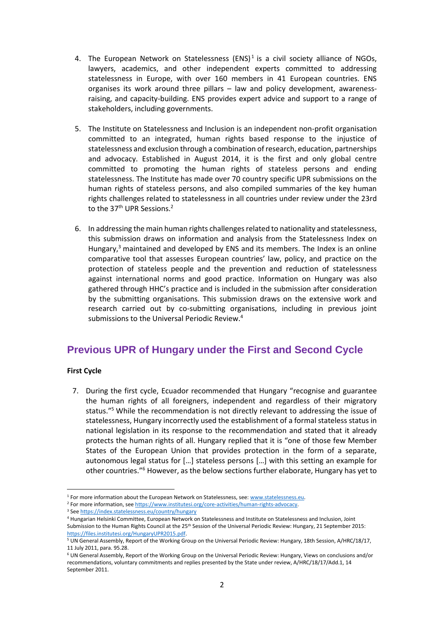- 4. The [European Network on Statelessness](http://www.statelessness.eu/)  $(ENS)^1$  is a civil society alliance of NGOs, lawyers, academics, and other independent experts committed to addressing statelessness in Europe, with over 160 members in 41 European countries. ENS organises its work around three pillars – law and policy development, awarenessraising, and capacity-building. ENS provides expert advice and support to a range of stakeholders, including governments.
- 5. The Institute on Statelessness and Inclusion is an independent non-profit organisation committed to an integrated, human rights based response to the injustice of statelessness and exclusion through a combination of research, education, partnerships and advocacy. Established in August 2014, it is the first and only global centre committed to promoting the human rights of stateless persons and ending statelessness. The Institute has made over 70 country specific UPR submissions on the human rights of stateless persons, and also compiled summaries of the key human rights challenges related to statelessness in all countries under review under the 23rd to the 37<sup>th</sup> UPR Sessions.<sup>2</sup>
- 6. In addressing the main human rights challenges related to nationality and statelessness, this submission draws on information and analysis from the Statelessness Index on Hungary, $3$  maintained and developed by ENS and its members. The Index is an online comparative tool that assesses European countries' law, policy, and practice on the protection of stateless people and the prevention and reduction of statelessness against international norms and good practice. Information on Hungary was also gathered through HHC's practice and is included in the submission after consideration by the submitting organisations. This submission draws on the extensive work and research carried out by co-submitting organisations, including in previous joint submissions to the Universal Periodic Review.<sup>4</sup>

### **Previous UPR of Hungary under the First and Second Cycle**

#### **First Cycle**

7. During the first cycle, Ecuador recommended that Hungary "recognise and guarantee the human rights of all foreigners, independent and regardless of their migratory status."<sup>5</sup> While the recommendation is not directly relevant to addressing the issue of statelessness, Hungary incorrectly used the establishment of a formal stateless status in national legislation in its response to the recommendation and stated that it already protects the human rights of all. Hungary replied that it is "one of those few Member States of the European Union that provides protection in the form of a separate, autonomous legal status for […] stateless persons […] with this setting an example for other countries."<sup>6</sup> However, as the below sections further elaborate, Hungary has yet to

<sup>2</sup> For more information, se[e https://www.institutesi.org/core-activities/human-rights-advocacy.](https://www.institutesi.org/core-activities/human-rights-advocacy)

<sup>&</sup>lt;sup>1</sup> For more information about the European Network on Statelessness, see: www.statelessness.eu.

<sup>3</sup> Se[e https://index.statelessness.eu/country/hungary](https://index.statelessness.eu/country/hungary)

<sup>4</sup> Hungarian Helsinki Committee, European Network on Statelessness and Institute on Statelessness and Inclusion, Joint Submission to the Human Rights Council at the 25<sup>th</sup> Session of the Universal Periodic Review: Hungary, 21 September 2015: [https://files.institutesi.org/HungaryUPR2015.pdf.](https://files.institutesi.org/HungaryUPR2015.pdf) 

<sup>5</sup> UN General Assembly, Report of the Working Group on the Universal Periodic Review: Hungary, 18th Session, A/HRC/18/17, 11 July 2011, para. 95.28.

<sup>6</sup> UN General Assembly, Report of the Working Group on the Universal Periodic Review: Hungary, Views on conclusions and/or recommendations, voluntary commitments and replies presented by the State under review, A/HRC/18/17/Add.1, 14 September 2011.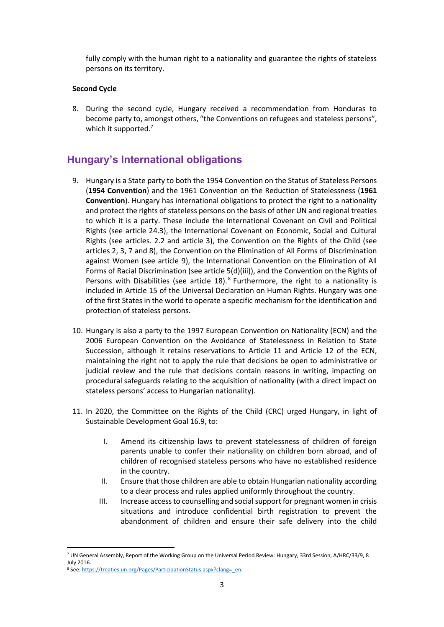fully comply with the human right to a nationality and guarantee the rights of stateless persons on its territory.

#### **Second Cycle**

8. During the second cycle, Hungary received a recommendation from Honduras to become party to, amongst others, "the Conventions on refugees and stateless persons", which it supported.<sup>7</sup>

## **Hungary's International obligations**

- 9. Hungary is a State party to both the 1954 Convention on the Status of Stateless Persons (**1954 Convention**) and the 1961 Convention on the Reduction of Statelessness (**1961 Convention**)*.* Hungary has international obligations to protect the right to a nationality and protect the rights of stateless persons on the basis of other UN and regional treaties to which it is a party. These include the International Covenant on Civil and Political Rights (see article 24.3), the International Covenant on Economic, Social and Cultural Rights (see articles. 2.2 and article 3), the Convention on the Rights of the Child (see articles 2, 3, 7 and 8), the Convention on the Elimination of All Forms of Discrimination against Women (see article 9), the International Convention on the Elimination of All Forms of Racial Discrimination (see article 5(d)(iii)), and the Convention on the Rights of Persons with Disabilities (see article  $18$ ).<sup>8</sup> Furthermore, the right to a nationality is included in Article 15 of the Universal Declaration on Human Rights. Hungary was one of the first States in the world to operate a specific mechanism for the identification and protection of stateless persons.
- 10. Hungary is also a party to the 1997 European Convention on Nationality (ECN) and the 2006 European Convention on the Avoidance of Statelessness in Relation to State Succession, although it retains reservations to Article 11 and Article 12 of the ECN, maintaining the right not to apply the rule that decisions be open to administrative or judicial review and the rule that decisions contain reasons in writing, impacting on procedural safeguards relating to the acquisition of nationality (with a direct impact on stateless persons' access to Hungarian nationality).
- 11. In 2020, the Committee on the Rights of the Child (CRC) urged Hungary, in light of Sustainable Development Goal 16.9, to:
	- I. Amend its citizenship laws to prevent statelessness of children of foreign parents unable to confer their nationality on children born abroad, and of children of recognised stateless persons who have no established residence in the country.
	- II. Ensure that those children are able to obtain Hungarian nationality according to a clear process and rules applied uniformly throughout the country.
	- III. Increase access to counselling and social support for pregnant women in crisis situations and introduce confidential birth registration to prevent the abandonment of children and ensure their safe delivery into the child

<sup>7</sup> UN General Assembly, Report of the Working Group on the Universal Period Review*:* Hungary, 33rd Session, A/HRC/33/9, 8 July 2016.

<sup>8</sup> See: https://treaties.un.org/Pages/ParticipationStatus.aspx?clang=\_en.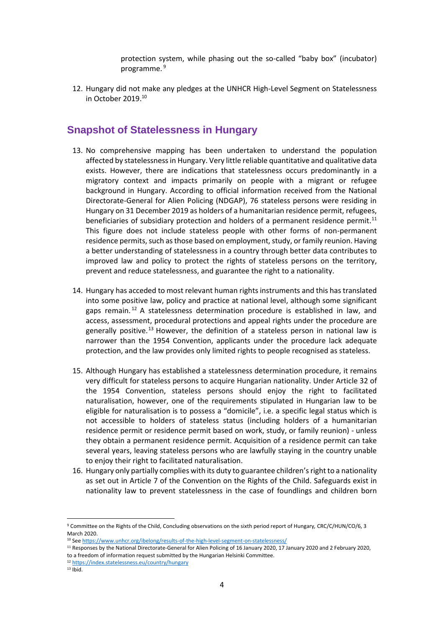protection system, while phasing out the so-called "baby box" (incubator) programme. 9

12. Hungary did not make any pledges at the UNHCR High-Level Segment on Statelessness in October 2019. 10

#### **Snapshot of Statelessness in Hungary**

- 13. No comprehensive mapping has been undertaken to understand the population affected by statelessness in Hungary. Very little reliable quantitative and qualitative data exists. However, there are indications that statelessness occurs predominantly in a migratory context and impacts primarily on people with a migrant or refugee background in Hungary. According to official information received from the National Directorate-General for Alien Policing (NDGAP), 76 stateless persons were residing in Hungary on 31 December 2019 as holders of a humanitarian residence permit, refugees, beneficiaries of subsidiary protection and holders of a permanent residence permit.<sup>11</sup> This figure does not include stateless people with other forms of non-permanent residence permits, such as those based on employment, study, or family reunion. Having a better understanding of statelessness in a country through better data contributes to improved law and policy to protect the rights of stateless persons on the territory, prevent and reduce statelessness, and guarantee the right to a nationality.
- 14. Hungary has acceded to most relevant human rights instruments and this has translated into some positive law, policy and practice at national level, although some significant gaps remain.<sup>12</sup> A statelessness determination procedure is established in law, and access, assessment, procedural protections and appeal rights under the procedure are generally positive.<sup>13</sup> However, the definition of a stateless person in national law is narrower than the 1954 Convention, applicants under the procedure lack adequate protection, and the law provides only limited rights to people recognised as stateless.
- 15. Although Hungary has established a statelessness determination procedure, it remains very difficult for stateless persons to acquire Hungarian nationality. Under Article 32 of the 1954 Convention, stateless persons should enjoy the right to facilitated naturalisation, however, one of the requirements stipulated in Hungarian law to be eligible for naturalisation is to possess a "domicile", i.e. a specific legal status which is not accessible to holders of stateless status (including holders of a humanitarian residence permit or residence permit based on work, study, or family reunion) - unless they obtain a permanent residence permit. Acquisition of a residence permit can take several years, leaving stateless persons who are lawfully staying in the country unable to enjoy their right to facilitated naturalisation.
- 16. Hungary only partially complies with its duty to guarantee children's right to a nationality as set out in Article 7 of the Convention on the Rights of the Child. Safeguards exist in nationality law to prevent statelessness in the case of foundlings and children born

<sup>9</sup> Committee on the Rights of the Child, Concluding observations on the sixth period report of Hungary*,* CRC/C/HUN/CO/6, 3 March 2020.

<sup>10</sup> Se[e https://www.unhcr.org/ibelong/results-of-the-high-level-segment-on-statelessness/](https://www.unhcr.org/ibelong/results-of-the-high-level-segment-on-statelessness/)

<sup>&</sup>lt;sup>11</sup> Responses by the National Directorate-General for Alien Policing of 16 January 2020, 17 January 2020 and 2 February 2020, to a freedom of information request submitted by the Hungarian Helsinki Committee.

<sup>12</sup> <https://index.statelessness.eu/country/hungary>

 $13$  Ihid.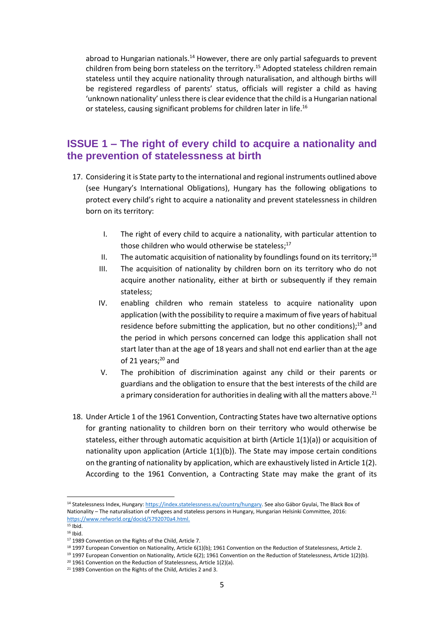abroad to Hungarian nationals. $<sup>14</sup>$  However, there are only partial safeguards to prevent</sup> children from being born stateless on the territory.<sup>15</sup> Adopted stateless children remain stateless until they acquire nationality through naturalisation, and although births will be registered regardless of parents' status, officials will register a child as having 'unknown nationality' unless there is clear evidence that the child is a Hungarian national or stateless, causing significant problems for children later in life.<sup>16</sup>

#### **ISSUE 1 – The right of every child to acquire a nationality and the prevention of statelessness at birth**

- 17. Considering it is State party to the international and regional instruments outlined above (see Hungary's International Obligations), Hungary has the following obligations to protect every child's right to acquire a nationality and prevent statelessness in children born on its territory:
	- I. The right of every child to acquire a nationality, with particular attention to those children who would otherwise be stateless;<sup>17</sup>
	- II. The automatic acquisition of nationality by foundlings found on its territory;<sup>18</sup>
	- III. The acquisition of nationality by children born on its territory who do not acquire another nationality, either at birth or subsequently if they remain stateless;
	- IV. enabling children who remain stateless to acquire nationality upon application (with the possibility to require a maximum of five years of habitual residence before submitting the application, but no other conditions); $^{19}$  and the period in which persons concerned can lodge this application shall not start later than at the age of 18 years and shall not end earlier than at the age of 21 years;<sup>20</sup> and
	- V. The prohibition of discrimination against any child or their parents or guardians and the obligation to ensure that the best interests of the child are a primary consideration for authorities in dealing with all the matters above.<sup>21</sup>
- 18. Under Article 1 of the 1961 Convention, Contracting States have two alternative options for granting nationality to children born on their territory who would otherwise be stateless, either through automatic acquisition at birth (Article 1(1)(a)) or acquisition of nationality upon application (Article  $1(1)(b)$ ). The State may impose certain conditions on the granting of nationality by application, which are exhaustively listed in Article 1(2). According to the 1961 Convention, a Contracting State may make the grant of its

<sup>14</sup> Statelessness Index, Hungary[: https://index.statelessness.eu/country/hungary.](https://index.statelessness.eu/country/hungary) See also Gábor Gyulai, The Black Box of Nationality – The naturalisation of refugees and stateless persons in Hungary, Hungarian Helsinki Committee, 2016: [https://www.refworld.org/docid/5792070a4.html.](https://www.refworld.org/docid/5792070a4.html)

 $15$  Ibid.  $16$  Ibid.

<sup>17</sup> 1989 Convention on the Rights of the Child, Article 7.

<sup>&</sup>lt;sup>18</sup> 1997 European Convention on Nationality, Article 6(1)(b); 1961 Convention on the Reduction of Statelessness, Article 2.

<sup>19</sup> 1997 European Convention on Nationality, Article 6(2); 1961 Convention on the Reduction of Statelessness, Article 1(2)(b).

<sup>&</sup>lt;sup>20</sup> 1961 Convention on the Reduction of Statelessness, Article 1(2)(a).

<sup>&</sup>lt;sup>21</sup> 1989 Convention on the Rights of the Child, Articles 2 and 3.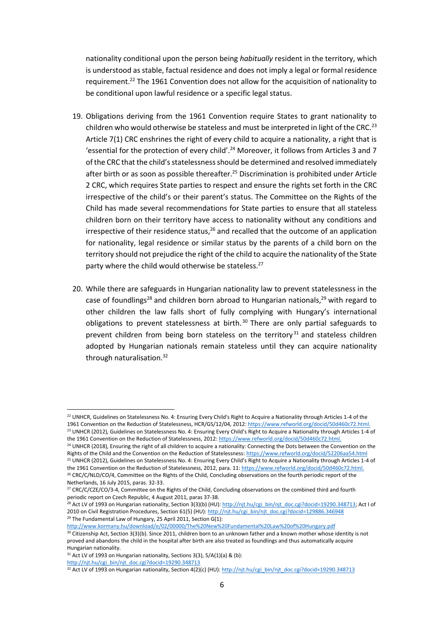nationality conditional upon the person being *habitually* resident in the territory, which is understood as stable, factual residence and does not imply a legal or formal residence requirement.<sup>22</sup> The 1961 Convention does not allow for the acquisition of nationality to be conditional upon lawful residence or a specific legal status.

- 19. Obligations deriving from the 1961 Convention require States to grant nationality to children who would otherwise be stateless and must be interpreted in light of the CRC.<sup>23</sup> Article 7(1) CRC enshrines the right of every child to acquire a nationality, a right that is 'essential for the protection of every child'.<sup>24</sup> Moreover, it follows from Articles 3 and 7 of the CRC that the child's statelessness should be determined and resolved immediately after birth or as soon as possible thereafter.<sup>25</sup> Discrimination is prohibited under Article 2 CRC, which requires State parties to respect and ensure the rights set forth in the CRC irrespective of the child's or their parent's status. The Committee on the Rights of the Child has made several recommendations for State parties to ensure that all stateless children born on their territory have access to nationality without any conditions and irrespective of their residence status, $26$  and recalled that the outcome of an application for nationality, legal residence or similar status by the parents of a child born on the territory should not prejudice the right of the child to acquire the nationality of the State party where the child would otherwise be stateless.<sup>27</sup>
- 20. While there are safeguards in Hungarian nationality law to prevent statelessness in the case of foundlings<sup>28</sup> and children born abroad to Hungarian nationals,<sup>29</sup> with regard to other children the law falls short of fully complying with Hungary's international obligations to prevent statelessness at birth.<sup>30</sup> There are only partial safeguards to prevent children from being born stateless on the territory<sup>31</sup> and stateless children adopted by Hungarian nationals remain stateless until they can acquire nationality through naturalisation.<sup>32</sup>

<sup>&</sup>lt;sup>22</sup> UNHCR, Guidelines on Statelessness No. 4: Ensuring Every Child's Right to Acquire a Nationality through Articles 1-4 of the 1961 Convention on the Reduction of Statelessness, HCR/GS/12/04, 2012[: https://www.refworld.org/docid/50d460c72.html.](https://www.refworld.org/docid/50d460c72.html) <sup>23</sup> UNHCR (2012), Guidelines on Statelessness No. 4: Ensuring Every Child's Right to Acquire a Nationality through Articles 1-4 of

the 1961 Convention on the Reduction of Statelessness, 2012[: https://www.refworld.org/docid/50d460c72.html.](https://www.refworld.org/docid/50d460c72.html) <sup>24</sup> UNHCR (2018), Ensuring the right of all children to acquire a nationality: Connecting the Dots between the Convention on the Rights of the Child and the Convention on the Reduction of Statelessness: <https://www.refworld.org/docid/52206aa54.html> <sup>25</sup> UNHCR (2012), Guidelines on Statelessness No. 4: Ensuring Every Child's Right to Acquire a Nationality through Articles 1-4 of the 1961 Convention on the Reduction of Statelessness, 2012, para. 11[: https://www.refworld.org/docid/50d460c72.html.](https://www.refworld.org/docid/50d460c72.html)

<sup>&</sup>lt;sup>26</sup> CRC/C/NLD/CO/4, Committee on the Rights of the Child, Concluding observations on the fourth periodic report of the Netherlands, 16 July 2015, paras. 32-33.

<sup>&</sup>lt;sup>27</sup> CRC/C/CZE/CO/3-4, Committee on the Rights of the Child, Concluding observations on the combined third and fourth periodic report on Czech Republic, 4 August 2011, paras 37-38.

<sup>&</sup>lt;sup>28</sup> Act LV of 1993 on Hungarian nationality, Section 3(3)(b) (HU)[: http://njt.hu/cgi\\_bin/njt\\_doc.cgi?docid=19290.348713;](http://njt.hu/cgi_bin/njt_doc.cgi?docid=19290.348713) Act I of 2010 on Civil Registration Procedures, Section 61(5) (HU)[: http://njt.hu/cgi\\_bin/njt\\_doc.cgi?docid=129886.346948](http://njt.hu/cgi_bin/njt_doc.cgi?docid=129886.346948)  $29$  The Fundamental Law of Hungary, 25 April 2011, Section G(1):

<http://www.kormany.hu/download/e/02/00000/The%20New%20Fundamental%20Law%20of%20Hungary.pdf> 30 Citizenship Act, Section 3(3)(b). Since 2011, children born to an unknown father and a known mother whose identity is not proved and abandons the child in the hospital after birth are also treated as foundlings and thus automatically acquire Hungarian nationality.

<sup>31</sup> Act LV of 1993 on Hungarian nationality, Sections 3(3), 5/A(1)(a) & (b):

[http://njt.hu/cgi\\_bin/njt\\_doc.cgi?docid=19290.348713](http://njt.hu/cgi_bin/njt_doc.cgi?docid=19290.348713)

<sup>32</sup> Act LV of 1993 on Hungarian nationality, Section 4(2)(c) (HU)[: http://njt.hu/cgi\\_bin/njt\\_doc.cgi?docid=19290.348713](http://njt.hu/cgi_bin/njt_doc.cgi?docid=19290.348713)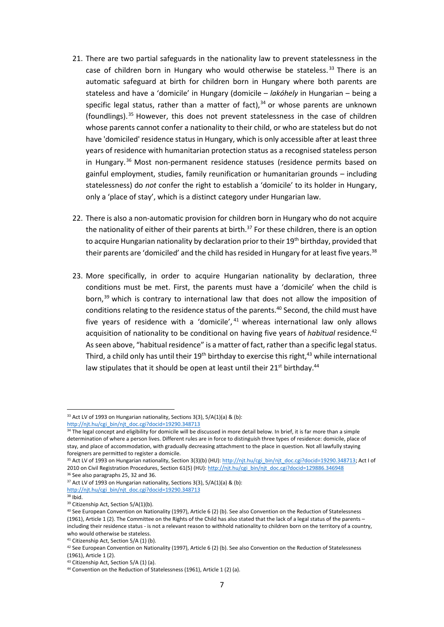- 21. There are two partial safeguards in the nationality law to prevent statelessness in the case of children born in Hungary who would otherwise be stateless.<sup>33</sup> There is an automatic safeguard at birth for children born in Hungary where both parents are stateless and have a 'domicile' in Hungary (domicile – *lakóhely* in Hungarian – being a specific legal status, rather than a matter of fact), $34$  or whose parents are unknown (foundlings).<sup>35</sup> However, this does not prevent statelessness in the case of children whose parents cannot confer a nationality to their child, or who are stateless but do not have 'domiciled' residence status in Hungary, which is only accessible after at least three years of residence with humanitarian protection status as a recognised stateless person in Hungary.<sup>36</sup> Most non-permanent residence statuses (residence permits based on gainful employment, studies, family reunification or humanitarian grounds – including statelessness) do *not* confer the right to establish a 'domicile' to its holder in Hungary, only a 'place of stay', which is a distinct category under Hungarian law.
- 22. There is also a non-automatic provision for children born in Hungary who do not acquire the nationality of either of their parents at birth. $37$  For these children, there is an option to acquire Hungarian nationality by declaration prior to their 19<sup>th</sup> birthday, provided that their parents are 'domiciled' and the child has resided in Hungary for at least five years.<sup>38</sup>
- 23. More specifically, in order to acquire Hungarian nationality by declaration, three conditions must be met. First, the parents must have a 'domicile' when the child is born,<sup>39</sup> which is contrary to international law that does not allow the imposition of conditions relating to the residence status of the parents.<sup>40</sup> Second, the child must have five years of residence with a 'domicile', <sup>41</sup> whereas international law only allows acquisition of nationality to be conditional on having five years of *habitual* residence.<sup>42</sup> As seen above, "habitual residence" is a matter of fact, rather than a specific legal status. Third, a child only has until their 19<sup>th</sup> birthday to exercise this right, <sup>43</sup> while international law stipulates that it should be open at least until their 21<sup>st</sup> birthday.<sup>44</sup>

 $33$  Act LV of 1993 on Hungarian nationality, Sections 3(3), 5/A(1)(a) & (b):

[http://njt.hu/cgi\\_bin/njt\\_doc.cgi?docid=19290.348713](http://njt.hu/cgi_bin/njt_doc.cgi?docid=19290.348713)

<sup>&</sup>lt;sup>34</sup> The legal concept and eligibility for domicile will be discussed in more detail below. In brief, it is far more than a simple determination of where a person lives. Different rules are in force to distinguish three types of residence: domicile, place of stay, and place of accommodation, with gradually decreasing attachment to the place in question. Not all lawfully staying foreigners are permitted to register a domicile.

<sup>&</sup>lt;sup>35</sup> Act LV of 1993 on Hungarian nationality, Section 3(3)(b) (HU)[: http://njt.hu/cgi\\_bin/njt\\_doc.cgi?docid=19290.348713;](http://njt.hu/cgi_bin/njt_doc.cgi?docid=19290.348713) Act I of 2010 on Civil Registration Procedures, Section 61(5) (HU)[: http://njt.hu/cgi\\_bin/njt\\_doc.cgi?docid=129886.346948](http://njt.hu/cgi_bin/njt_doc.cgi?docid=129886.346948)

<sup>&</sup>lt;sup>36</sup> See also paragraphs 25, 32 and 36.

 $37$  Act LV of 1993 on Hungarian nationality, Sections 3(3), 5/A(1)(a) & (b): [http://njt.hu/cgi\\_bin/njt\\_doc.cgi?docid=19290.348713](http://njt.hu/cgi_bin/njt_doc.cgi?docid=19290.348713)

<sup>38</sup> Ibid.

<sup>&</sup>lt;sup>39</sup> Citizenship Act, Section 5/A(1)(b).

<sup>40</sup> See European Convention on Nationality (1997), Article 6 (2) (b). See also Convention on the Reduction of Statelessness (1961), Article 1 (2). The Committee on the Rights of the Child has also stated that the lack of a legal status of the parents – including their residence status - is not a relevant reason to withhold nationality to children born on the territory of a country, who would otherwise be stateless.

<sup>41</sup> Citizenship Act, Section 5/A (1) (b).

 $42$  See European Convention on Nationality (1997), Article 6 (2) (b). See also Convention on the Reduction of Statelessness (1961), Article 1 (2).

<sup>43</sup> Citizenship Act, Section 5/A (1) (a).

<sup>&</sup>lt;sup>44</sup> Convention on the Reduction of Statelessness (1961), Article 1 (2) (a).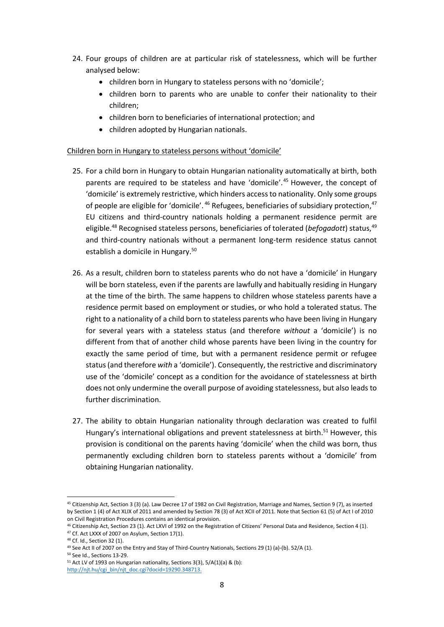- 24. Four groups of children are at particular risk of statelessness, which will be further analysed below:
	- children born in Hungary to stateless persons with no 'domicile';
	- children born to parents who are unable to confer their nationality to their children;
	- children born to beneficiaries of international protection; and
	- children adopted by Hungarian nationals.

#### Children born in Hungary to stateless persons without 'domicile'

- 25. For a child born in Hungary to obtain Hungarian nationality automatically at birth, both parents are required to be stateless and have 'domicile'.<sup>45</sup> However, the concept of 'domicile' is extremely restrictive, which hinders access to nationality. Only some groups of people are eligible for 'domicile'.<sup>46</sup> Refugees, beneficiaries of subsidiary protection,<sup>47</sup> EU citizens and third-country nationals holding a permanent residence permit are eligible. <sup>48</sup> Recognised stateless persons, beneficiaries of tolerated (*befogadott*) status, 49 and third-country nationals without a permanent long-term residence status cannot establish a domicile in Hungary.<sup>50</sup>
- 26. As a result, children born to stateless parents who do not have a 'domicile' in Hungary will be born stateless, even if the parents are lawfully and habitually residing in Hungary at the time of the birth. The same happens to children whose stateless parents have a residence permit based on employment or studies, or who hold a tolerated status. The right to a nationality of a child born to stateless parents who have been living in Hungary for several years with a stateless status (and therefore *without* a 'domicile') is no different from that of another child whose parents have been living in the country for exactly the same period of time, but with a permanent residence permit or refugee status (and therefore *with* a 'domicile'). Consequently, the restrictive and discriminatory use of the 'domicile' concept as a condition for the avoidance of statelessness at birth does not only undermine the overall purpose of avoiding statelessness, but also leads to further discrimination.
- 27. The ability to obtain Hungarian nationality through declaration was created to fulfil Hungary's international obligations and prevent statelessness at birth.<sup>51</sup> However, this provision is conditional on the parents having 'domicile' when the child was born, thus permanently excluding children born to stateless parents without a 'domicile' from obtaining Hungarian nationality.

<sup>45</sup> Citizenship Act, Section 3 (3) (a). Law Decree 17 of 1982 on Civil Registration, Marriage and Names, Section 9 (7), as inserted by Section 1 (4) of Act XLIX of 2011 and amended by Section 78 (3) of Act XCII of 2011. Note that Section 61 (5) of Act I of 2010 on Civil Registration Procedures contains an identical provision.

<sup>46</sup> Citizenship Act, Section 23 (1). Act LXVI of 1992 on the Registration of Citizens' Personal Data and Residence, Section 4 (1).

<sup>&</sup>lt;sup>47</sup> Cf. Act LXXX of 2007 on Asylum, Section 17(1).

<sup>48</sup> Cf. Id., Section 32 (1).

<sup>&</sup>lt;sup>49</sup> See Act II of 2007 on the Entry and Stay of Third-Country Nationals, Sections 29 (1) (a)-(b). 52/A (1).

<sup>50</sup> See Id., Sections 13-29.

 $51$  Act LV of 1993 on Hungarian nationality, Sections 3(3), 5/A(1)(a) & (b):

[http://njt.hu/cgi\\_bin/njt\\_doc.cgi?docid=19290.348713.](http://njt.hu/cgi_bin/njt_doc.cgi?docid=19290.348713)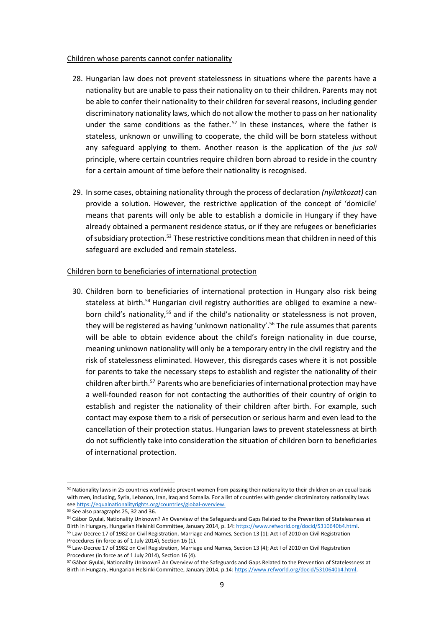#### Children whose parents cannot confer nationality

- 28. Hungarian law does not prevent statelessness in situations where the parents have a nationality but are unable to pass their nationality on to their children. Parents may not be able to confer their nationality to their children for several reasons, including gender discriminatory nationality laws, which do not allow the mother to pass on her nationality under the same conditions as the father.<sup>52</sup> In these instances, where the father is stateless, unknown or unwilling to cooperate, the child will be born stateless without any safeguard applying to them. Another reason is the application of the *jus soli*  principle, where certain countries require children born abroad to reside in the country for a certain amount of time before their nationality is recognised.
- 29. In some cases, obtaining nationality through the process of declaration *(nyilatkozat)* can provide a solution. However, the restrictive application of the concept of 'domicile' means that parents will only be able to establish a domicile in Hungary if they have already obtained a permanent residence status, or if they are refugees or beneficiaries of subsidiary protection.<sup>53</sup> These restrictive conditions mean that children in need of this safeguard are excluded and remain stateless.

#### Children born to beneficiaries of international protection

30. Children born to beneficiaries of international protection in Hungary also risk being stateless at birth.<sup>54</sup> Hungarian civil registry authorities are obliged to examine a newborn child's nationality,<sup>55</sup> and if the child's nationality or statelessness is not proven, they will be registered as having 'unknown nationality'.<sup>56</sup> The rule assumes that parents will be able to obtain evidence about the child's foreign nationality in due course, meaning unknown nationality will only be a temporary entry in the civil registry and the risk of statelessness eliminated. However, this disregards cases where it is not possible for parents to take the necessary steps to establish and register the nationality of their children after birth.<sup>57</sup> Parents who are beneficiaries of international protection may have a well-founded reason for not contacting the authorities of their country of origin to establish and register the nationality of their children after birth. For example, such contact may expose them to a risk of persecution or serious harm and even lead to the cancellation of their protection status. Hungarian laws to prevent statelessness at birth do not sufficiently take into consideration the situation of children born to beneficiaries of international protection.

Procedures (in force as of 1 July 2014), Section 16 (1).

 $52$  Nationality laws in 25 countries worldwide prevent women from passing their nationality to their children on an equal basis with men, including, Syria, Lebanon, Iran, Iraq and Somalia. For a list of countries with gender discriminatory nationality laws se[e https://equalnationalityrights.org/countries/global-overview.](https://equalnationalityrights.org/countries/global-overview)

<sup>&</sup>lt;sup>53</sup> See also paragraphs 25, 32 and 36.

<sup>54</sup> Gábor Gyulai, Nationality Unknown? An Overview of the Safeguards and Gaps Related to the Prevention of Statelessness at Birth in Hungary, Hungarian Helsinki Committee, January 2014, p. 14[: https://www.refworld.org/docid/5310640b4.html.](https://www.refworld.org/docid/5310640b4.html) <sup>55</sup> Law-Decree 17 of 1982 on Civil Registration, Marriage and Names, Section 13 (1); Act I of 2010 on Civil Registration

<sup>56</sup> Law-Decree 17 of 1982 on Civil Registration, Marriage and Names, Section 13 (4); Act I of 2010 on Civil Registration Procedures (in force as of 1 July 2014), Section 16 (4).

<sup>57</sup> Gábor Gyulai, Nationality Unknown? An Overview of the Safeguards and Gaps Related to the Prevention of Statelessness at Birth in Hungary, Hungarian Helsinki Committee, January 2014, p.14[: https://www.refworld.org/docid/5310640b4.html.](https://www.refworld.org/docid/5310640b4.html)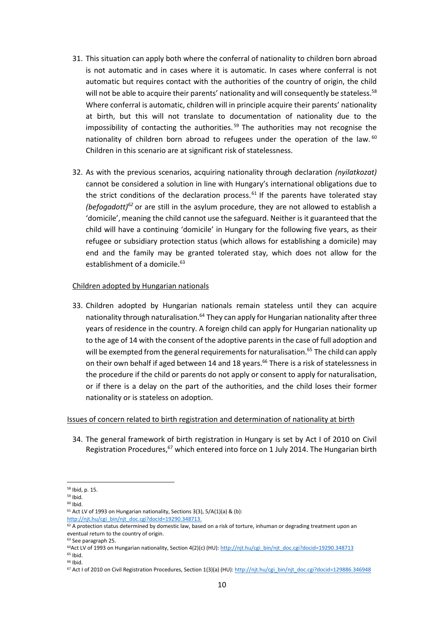- 31. This situation can apply both where the conferral of nationality to children born abroad is not automatic and in cases where it is automatic. In cases where conferral is not automatic but requires contact with the authorities of the country of origin, the child will not be able to acquire their parents' nationality and will consequently be stateless.<sup>58</sup> Where conferral is automatic, children will in principle acquire their parents' nationality at birth, but this will not translate to documentation of nationality due to the impossibility of contacting the authorities. <sup>59</sup> The authorities may not recognise the nationality of children born abroad to refugees under the operation of the law.<sup>60</sup> Children in this scenario are at significant risk of statelessness.
- 32. As with the previous scenarios, acquiring nationality through declaration *(nyilatkozat)* cannot be considered a solution in line with Hungary's international obligations due to the strict conditions of the declaration process.<sup>61</sup> If the parents have tolerated stay *(befogadott)<sup>62</sup>* or are still in the asylum procedure, they are not allowed to establish a 'domicile', meaning the child cannot use the safeguard. Neither is it guaranteed that the child will have a continuing 'domicile' in Hungary for the following five years, as their refugee or subsidiary protection status (which allows for establishing a domicile) may end and the family may be granted tolerated stay, which does not allow for the establishment of a domicile.<sup>63</sup>

#### Children adopted by Hungarian nationals

33. Children adopted by Hungarian nationals remain stateless until they can acquire nationality through naturalisation.<sup>64</sup> They can apply for Hungarian nationality after three years of residence in the country. A foreign child can apply for Hungarian nationality up to the age of 14 with the consent of the adoptive parents in the case of full adoption and will be exempted from the general requirements for naturalisation.<sup>65</sup> The child can apply on their own behalf if aged between 14 and 18 years.<sup>66</sup> There is a risk of statelessness in the procedure if the child or parents do not apply or consent to apply for naturalisation, or if there is a delay on the part of the authorities, and the child loses their former nationality or is stateless on adoption.

#### Issues of concern related to birth registration and determination of nationality at birth

34. The general framework of birth registration in Hungary is set by Act I of 2010 on Civil Registration Procedures,<sup>67</sup> which entered into force on 1 July 2014. The Hungarian birth

<sup>58</sup> Ibid, p. 15.

<sup>59</sup> Ibid.

 $60$  Ibid.

 $61$  Act LV of 1993 on Hungarian nationality, Sections 3(3), 5/A(1)(a) & (b):

[http://njt.hu/cgi\\_bin/njt\\_doc.cgi?docid=19290.348713.](http://njt.hu/cgi_bin/njt_doc.cgi?docid=19290.348713)

 $62$  A protection status determined by domestic law, based on a risk of torture, inhuman or degrading treatment upon an eventual return to the country of origin.

<sup>63</sup> See paragraph 25.

<sup>&</sup>lt;sup>64</sup>Act LV of 1993 on Hungarian nationality, Section 4(2)(c) (HU): [http://njt.hu/cgi\\_bin/njt\\_doc.cgi?docid=19290.348713](http://njt.hu/cgi_bin/njt_doc.cgi?docid=19290.348713)

<sup>65</sup> Ibid. <sup>66</sup> Ibid.

<sup>&</sup>lt;sup>67</sup> Act I of 2010 on Civil Registration Procedures, Section 1(3)(a) (HU)[: http://njt.hu/cgi\\_bin/njt\\_doc.cgi?docid=129886.346948](http://njt.hu/cgi_bin/njt_doc.cgi?docid=129886.346948)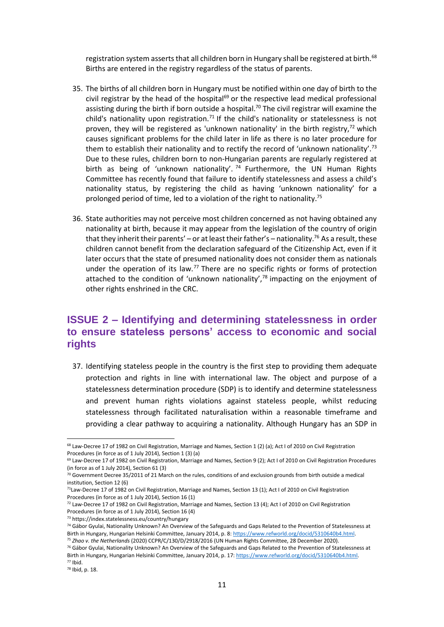registration system asserts that all children born in Hungary shall be registered at birth.<sup>68</sup> Births are entered in the registry regardless of the status of parents.

- 35. The births of all children born in Hungary must be notified within one day of birth to the civil registrar by the head of the hospital $69$  or the respective lead medical professional assisting during the birth if born outside a hospital.<sup>70</sup> The civil registrar will examine the child's nationality upon registration.<sup>71</sup> If the child's nationality or statelessness is not proven, they will be registered as 'unknown nationality' in the birth registry, $72$  which causes significant problems for the child later in life as there is no later procedure for them to establish their nationality and to rectify the record of 'unknown nationality'.<sup>73</sup> Due to these rules, children born to non-Hungarian parents are regularly registered at birth as being of 'unknown nationality'.  $74$  Furthermore, the UN Human Rights Committee has recently found that failure to identify statelessness and assess a child's nationality status, by registering the child as having 'unknown nationality' for a prolonged period of time, led to a violation of the right to nationality.<sup>75</sup>
- 36. State authorities may not perceive most children concerned as not having obtained any nationality at birth, because it may appear from the legislation of the country of origin that they inherit their parents' – or at least their father's – nationality.<sup>76</sup> As a result, these children cannot benefit from the declaration safeguard of the Citizenship Act, even if it later occurs that the state of presumed nationality does not consider them as nationals under the operation of its law.<sup>77</sup> There are no specific rights or forms of protection attached to the condition of 'unknown nationality', $78$  impacting on the enjoyment of other rights enshrined in the CRC.

#### **ISSUE 2 – Identifying and determining statelessness in order to ensure stateless persons' access to economic and social rights**

37. Identifying stateless people in the country is the first step to providing them adequate protection and rights in line with international law. The object and purpose of a statelessness determination procedure (SDP) is to identify and determine statelessness and prevent human rights violations against stateless people, whilst reducing statelessness through facilitated naturalisation within a reasonable timeframe and providing a clear pathway to acquiring a nationality. Although Hungary has an SDP in

<sup>68</sup> Law-Decree 17 of 1982 on Civil Registration, Marriage and Names, Section 1 (2) (a); Act I of 2010 on Civil Registration Procedures (in force as of 1 July 2014), Section 1 (3) (a)

<sup>69</sup> Law-Decree 17 of 1982 on Civil Registration, Marriage and Names, Section 9 (2); Act I of 2010 on Civil Registration Procedures (in force as of 1 July 2014), Section 61 (3)

 $70$  Government Decree 35/2011 of 21 March on the rules, conditions of and exclusion grounds from birth outside a medical institution, Section 12 (6)

 $71$ Law-Decree 17 of 1982 on Civil Registration, Marriage and Names, Section 13 (1); Act I of 2010 on Civil Registration Procedures (in force as of 1 July 2014), Section 16 (1)

 $72$  Law-Decree 17 of 1982 on Civil Registration, Marriage and Names, Section 13 (4); Act I of 2010 on Civil Registration Procedures (in force as of 1 July 2014), Section 16 (4)

<sup>73</sup> https://index.statelessness.eu/country/hungary

<sup>74</sup> Gábor Gyulai, Nationality Unknown? An Overview of the Safeguards and Gaps Related to the Prevention of Statelessness at Birth in Hungary, Hungarian Helsinki Committee, January 2014, p. 8[: https://www.refworld.org/docid/5310640b4.html.](https://www.refworld.org/docid/5310640b4.html)

<sup>75</sup> *Zhao v. the Netherlands* (2020) CCPR/C/130/D/2918/2016 (UN Human Rights Committee, 28 December 2020). <sup>76</sup> Gábor Gyulai, Nationality Unknown? An Overview of the Safeguards and Gaps Related to the Prevention of Statelessness at Birth in Hungary, Hungarian Helsinki Committee, January 2014, p. 17[: https://www.refworld.org/docid/5310640b4.html.](https://www.refworld.org/docid/5310640b4.html) <sup>77</sup> Ibid.

<sup>78</sup> Ibid, p. 18.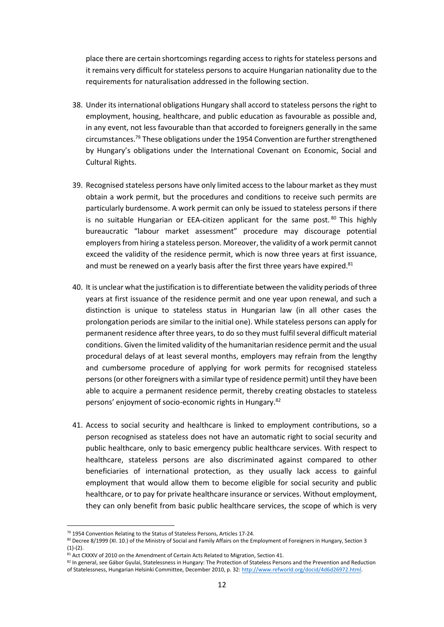place there are certain shortcomings regarding access to rights for stateless persons and it remains very difficult for stateless persons to acquire Hungarian nationality due to the requirements for naturalisation addressed in the following section.

- 38. Under its international obligations Hungary shall accord to stateless persons the right to employment, housing, healthcare, and public education as favourable as possible and, in any event, not less favourable than that accorded to foreigners generally in the same circumstances.<sup>79</sup> These obligations under the 1954 Convention are further strengthened by Hungary's obligations under the International Covenant on Economic, Social and Cultural Rights.
- 39. Recognised stateless persons have only limited access to the labour market as they must obtain a work permit, but the procedures and conditions to receive such permits are particularly burdensome. A work permit can only be issued to stateless persons if there is no suitable Hungarian or EEA-citizen applicant for the same post. <sup>80</sup> This highly bureaucratic "labour market assessment" procedure may discourage potential employers from hiring a stateless person. Moreover, the validity of a work permit cannot exceed the validity of the residence permit, which is now three years at first issuance, and must be renewed on a yearly basis after the first three years have expired.<sup>81</sup>
- 40. It is unclear what the justification is to differentiate between the validity periods of three years at first issuance of the residence permit and one year upon renewal, and such a distinction is unique to stateless status in Hungarian law (in all other cases the prolongation periods are similar to the initial one). While stateless persons can apply for permanent residence after three years, to do so they must fulfil several difficult material conditions. Given the limited validity of the humanitarian residence permit and the usual procedural delays of at least several months, employers may refrain from the lengthy and cumbersome procedure of applying for work permits for recognised stateless persons (or other foreigners with a similar type of residence permit) until they have been able to acquire a permanent residence permit, thereby creating obstacles to stateless persons' enjoyment of socio-economic rights in Hungary. 82
- 41. Access to social security and healthcare is linked to employment contributions, so a person recognised as stateless does not have an automatic right to social security and public healthcare, only to basic emergency public healthcare services. With respect to healthcare, stateless persons are also discriminated against compared to other beneficiaries of international protection, as they usually lack access to gainful employment that would allow them to become eligible for social security and public healthcare, or to pay for private healthcare insurance or services. Without employment, they can only benefit from basic public healthcare services, the scope of which is very

<sup>79</sup> 1954 Convention Relating to the Status of Stateless Persons, Articles 17-24.

<sup>80</sup> Decree 8/1999 (XI. 10.) of the Ministry of Social and Family Affairs on the Employment of Foreigners in Hungary, Section 3  $(1)-(2)$ .

<sup>81</sup> Act CXXXV of 2010 on the Amendment of Certain Acts Related to Migration, Section 41.

<sup>82</sup> In general, see Gábor Gyulai, Statelessness in Hungary: The Protection of Stateless Persons and the Prevention and Reduction of Statelessness, Hungarian Helsinki Committee, December 2010, p. 32[: http://www.refworld.org/docid/4d6d26972.html.](http://www.refworld.org/docid/4d6d26972.html)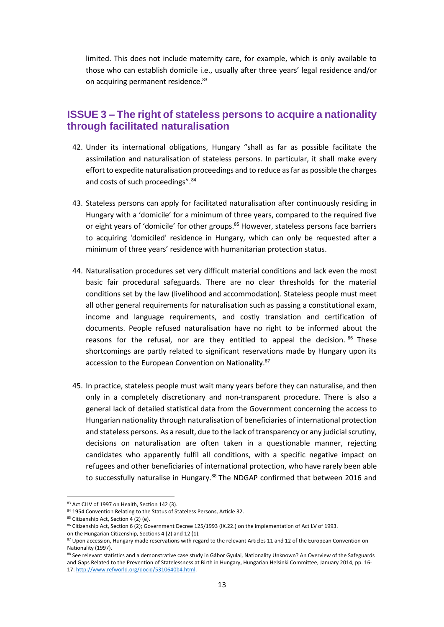limited. This does not include maternity care, for example, which is only available to those who can establish domicile i.e., usually after three years' legal residence and/or on acquiring permanent residence.<sup>83</sup>

#### **ISSUE 3 – The right of stateless persons to acquire a nationality through facilitated naturalisation**

- 42. Under its international obligations, Hungary "shall as far as possible facilitate the assimilation and naturalisation of stateless persons. In particular, it shall make every effort to expedite naturalisation proceedings and to reduce as far as possible the charges and costs of such proceedings".<sup>84</sup>
- 43. Stateless persons can apply for facilitated naturalisation after continuously residing in Hungary with a 'domicile' for a minimum of three years, compared to the required five or eight years of 'domicile' for other groups.<sup>85</sup> However, stateless persons face barriers to acquiring 'domiciled' residence in Hungary, which can only be requested after a minimum of three years' residence with humanitarian protection status.
- 44. Naturalisation procedures set very difficult material conditions and lack even the most basic fair procedural safeguards. There are no clear thresholds for the material conditions set by the law (livelihood and accommodation). Stateless people must meet all other general requirements for naturalisation such as passing a constitutional exam, income and language requirements, and costly translation and certification of documents. People refused naturalisation have no right to be informed about the reasons for the refusal, nor are they entitled to appeal the decision. 86 These shortcomings are partly related to significant reservations made by Hungary upon its accession to the European Convention on Nationality.<sup>87</sup>
- 45. In practice, stateless people must wait many years before they can naturalise, and then only in a completely discretionary and non-transparent procedure. There is also a general lack of detailed statistical data from the Government concerning the access to Hungarian nationality through naturalisation of beneficiaries of international protection and stateless persons. As a result, due to the lack of transparency or any judicial scrutiny, decisions on naturalisation are often taken in a questionable manner, rejecting candidates who apparently fulfil all conditions, with a specific negative impact on refugees and other beneficiaries of international protection, who have rarely been able to successfully naturalise in Hungary.<sup>88</sup> The NDGAP confirmed that between 2016 and

<sup>83</sup> Act CLIV of 1997 on Health, Section 142 (3).

<sup>84 1954</sup> Convention Relating to the Status of Stateless Persons, Article 32.

<sup>85</sup> Citizenship Act, Section 4 (2) (e).

<sup>86</sup> Citizenship Act, Section 6 (2); Government Decree 125/1993 (IX.22.) on the implementation of Act LV of 1993.

on the Hungarian Citizenship, Sections 4 (2) and 12 (1).

<sup>87</sup> Upon accession, Hungary made reservations with regard to the relevant Articles 11 and 12 of the European Convention on Nationality (1997).

<sup>88</sup> See relevant statistics and a demonstrative case study in Gábor Gyulai, Nationality Unknown? An Overview of the Safeguards and Gaps Related to the Prevention of Statelessness at Birth in Hungary, Hungarian Helsinki Committee, January 2014, pp. 16- 17: [http://www.refworld.org/docid/5310640b4.html.](http://www.refworld.org/docid/5310640b4.html)